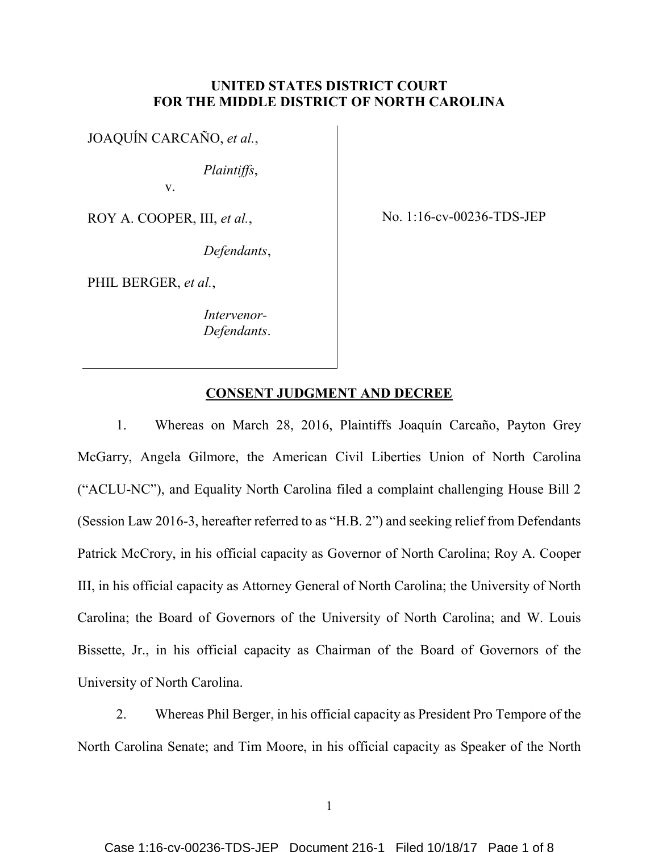## **UNITED STATES DISTRICT COURT FOR THE MIDDLE DISTRICT OF NORTH CAROLINA**

JOAQUÍN CARCAÑO, *et al.*,

*Plaintiffs*,

v.

ROY A. COOPER, III, *et al.*,

*Defendants*,

PHIL BERGER, *et al.*,

*Intervenor-Defendants*. No. 1:16-cv-00236-TDS-JEP

# **CONSENT JUDGMENT AND DECREE**

1. Whereas on March 28, 2016, Plaintiffs Joaquín Carcaño, Payton Grey McGarry, Angela Gilmore, the American Civil Liberties Union of North Carolina ("ACLU-NC"), and Equality North Carolina filed a complaint challenging House Bill 2 (Session Law 2016-3, hereafter referred to as "H.B. 2") and seeking relief from Defendants Patrick McCrory, in his official capacity as Governor of North Carolina; Roy A. Cooper III, in his official capacity as Attorney General of North Carolina; the University of North Carolina; the Board of Governors of the University of North Carolina; and W. Louis Bissette, Jr., in his official capacity as Chairman of the Board of Governors of the University of North Carolina.

2. Whereas Phil Berger, in his official capacity as President Pro Tempore of the North Carolina Senate; and Tim Moore, in his official capacity as Speaker of the North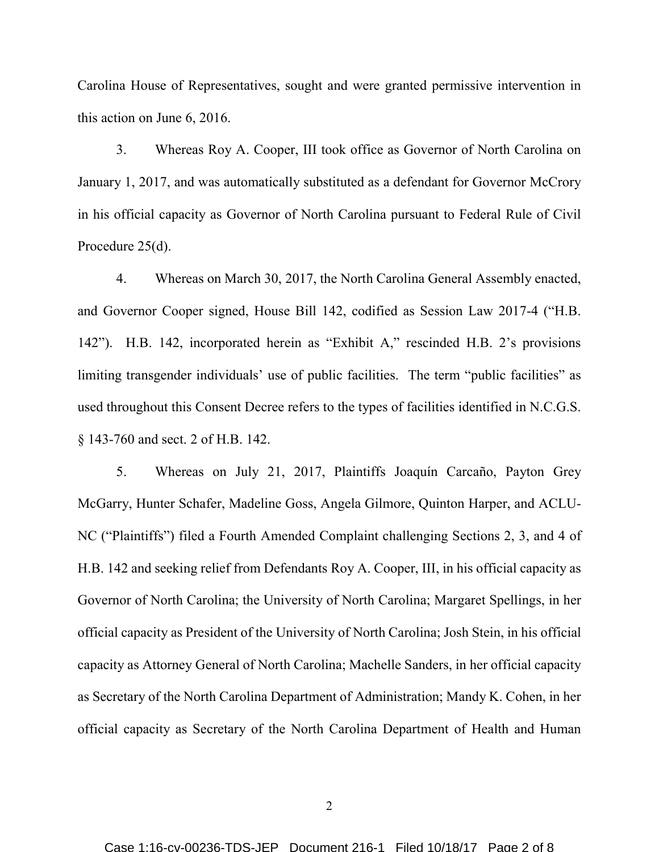Carolina House of Representatives, sought and were granted permissive intervention in this action on June 6, 2016.

3. Whereas Roy A. Cooper, III took office as Governor of North Carolina on January 1, 2017, and was automatically substituted as a defendant for Governor McCrory in his official capacity as Governor of North Carolina pursuant to Federal Rule of Civil Procedure 25(d).

4. Whereas on March 30, 2017, the North Carolina General Assembly enacted, and Governor Cooper signed, House Bill 142, codified as Session Law 2017-4 ("H.B. 142"). H.B. 142, incorporated herein as "Exhibit A," rescinded H.B. 2's provisions limiting transgender individuals' use of public facilities. The term "public facilities" as used throughout this Consent Decree refers to the types of facilities identified in N.C.G.S. § 143-760 and sect. 2 of H.B. 142.

5. Whereas on July 21, 2017, Plaintiffs Joaquín Carcaño, Payton Grey McGarry, Hunter Schafer, Madeline Goss, Angela Gilmore, Quinton Harper, and ACLU-NC ("Plaintiffs") filed a Fourth Amended Complaint challenging Sections 2, 3, and 4 of H.B. 142 and seeking relief from Defendants Roy A. Cooper, III, in his official capacity as Governor of North Carolina; the University of North Carolina; Margaret Spellings, in her official capacity as President of the University of North Carolina; Josh Stein, in his official capacity as Attorney General of North Carolina; Machelle Sanders, in her official capacity as Secretary of the North Carolina Department of Administration; Mandy K. Cohen, in her official capacity as Secretary of the North Carolina Department of Health and Human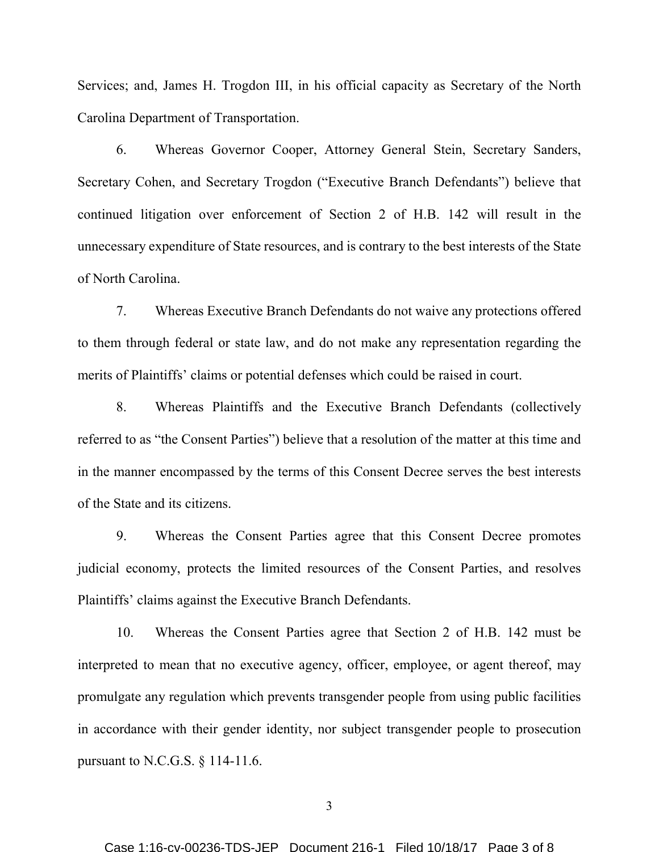Services; and, James H. Trogdon III, in his official capacity as Secretary of the North Carolina Department of Transportation.

6. Whereas Governor Cooper, Attorney General Stein, Secretary Sanders, Secretary Cohen, and Secretary Trogdon ("Executive Branch Defendants") believe that continued litigation over enforcement of Section 2 of H.B. 142 will result in the unnecessary expenditure of State resources, and is contrary to the best interests of the State of North Carolina.

7. Whereas Executive Branch Defendants do not waive any protections offered to them through federal or state law, and do not make any representation regarding the merits of Plaintiffs' claims or potential defenses which could be raised in court.

8. Whereas Plaintiffs and the Executive Branch Defendants (collectively referred to as "the Consent Parties") believe that a resolution of the matter at this time and in the manner encompassed by the terms of this Consent Decree serves the best interests of the State and its citizens.

9. Whereas the Consent Parties agree that this Consent Decree promotes judicial economy, protects the limited resources of the Consent Parties, and resolves Plaintiffs' claims against the Executive Branch Defendants.

10. Whereas the Consent Parties agree that Section 2 of H.B. 142 must be interpreted to mean that no executive agency, officer, employee, or agent thereof, may promulgate any regulation which prevents transgender people from using public facilities in accordance with their gender identity, nor subject transgender people to prosecution pursuant to N.C.G.S. § 114-11.6.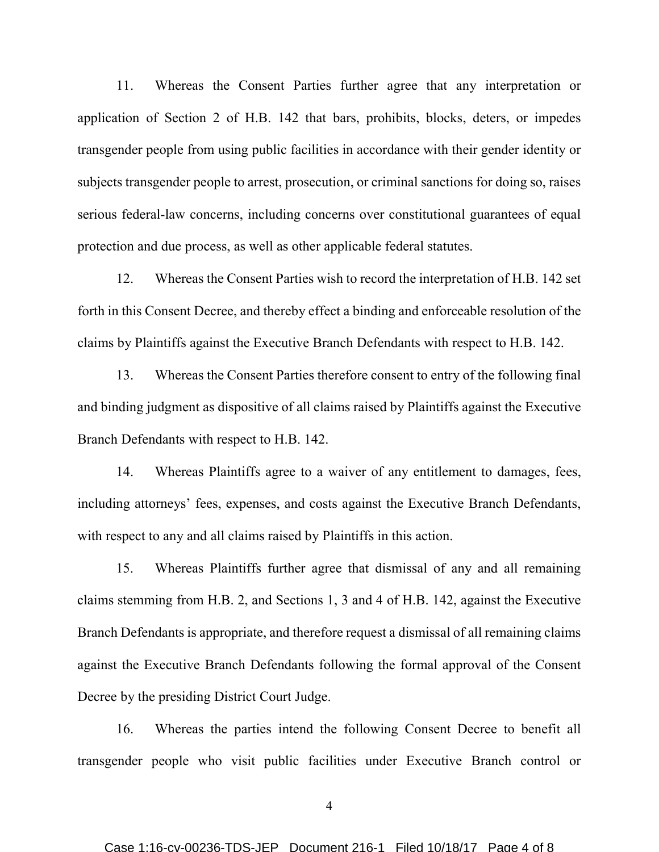11. Whereas the Consent Parties further agree that any interpretation or application of Section 2 of H.B. 142 that bars, prohibits, blocks, deters, or impedes transgender people from using public facilities in accordance with their gender identity or subjects transgender people to arrest, prosecution, or criminal sanctions for doing so, raises serious federal-law concerns, including concerns over constitutional guarantees of equal protection and due process, as well as other applicable federal statutes.

12. Whereas the Consent Parties wish to record the interpretation of H.B. 142 set forth in this Consent Decree, and thereby effect a binding and enforceable resolution of the claims by Plaintiffs against the Executive Branch Defendants with respect to H.B. 142.

13. Whereas the Consent Parties therefore consent to entry of the following final and binding judgment as dispositive of all claims raised by Plaintiffs against the Executive Branch Defendants with respect to H.B. 142.

14. Whereas Plaintiffs agree to a waiver of any entitlement to damages, fees, including attorneys' fees, expenses, and costs against the Executive Branch Defendants, with respect to any and all claims raised by Plaintiffs in this action.

15. Whereas Plaintiffs further agree that dismissal of any and all remaining claims stemming from H.B. 2, and Sections 1, 3 and 4 of H.B. 142, against the Executive Branch Defendants is appropriate, and therefore request a dismissal of all remaining claims against the Executive Branch Defendants following the formal approval of the Consent Decree by the presiding District Court Judge.

16. Whereas the parties intend the following Consent Decree to benefit all transgender people who visit public facilities under Executive Branch control or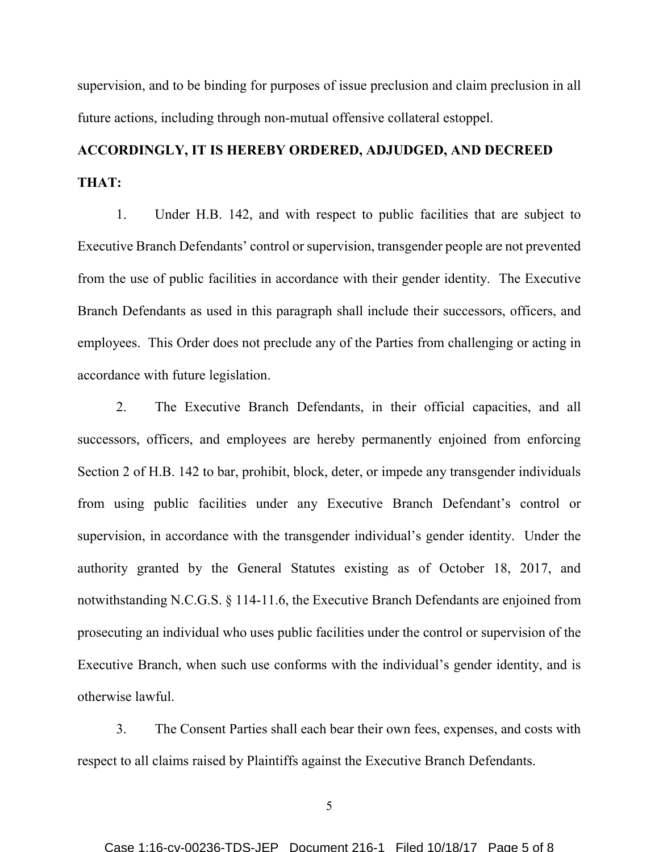supervision, and to be binding for purposes of issue preclusion and claim preclusion in all future actions, including through non-mutual offensive collateral estoppel.

# **ACCORDINGLY, IT IS HEREBY ORDERED, ADJUDGED, AND DECREED THAT:**

1. Under H.B. 142, and with respect to public facilities that are subject to Executive Branch Defendants' control or supervision, transgender people are not prevented from the use of public facilities in accordance with their gender identity. The Executive Branch Defendants as used in this paragraph shall include their successors, officers, and employees. This Order does not preclude any of the Parties from challenging or acting in accordance with future legislation.

2. The Executive Branch Defendants, in their official capacities, and all successors, officers, and employees are hereby permanently enjoined from enforcing Section 2 of H.B. 142 to bar, prohibit, block, deter, or impede any transgender individuals from using public facilities under any Executive Branch Defendant's control or supervision, in accordance with the transgender individual's gender identity. Under the authority granted by the General Statutes existing as of October 18, 2017, and notwithstanding N.C.G.S. § 114-11.6, the Executive Branch Defendants are enjoined from prosecuting an individual who uses public facilities under the control or supervision of the Executive Branch, when such use conforms with the individual's gender identity, and is otherwise lawful.

3. The Consent Parties shall each bear their own fees, expenses, and costs with respect to all claims raised by Plaintiffs against the Executive Branch Defendants.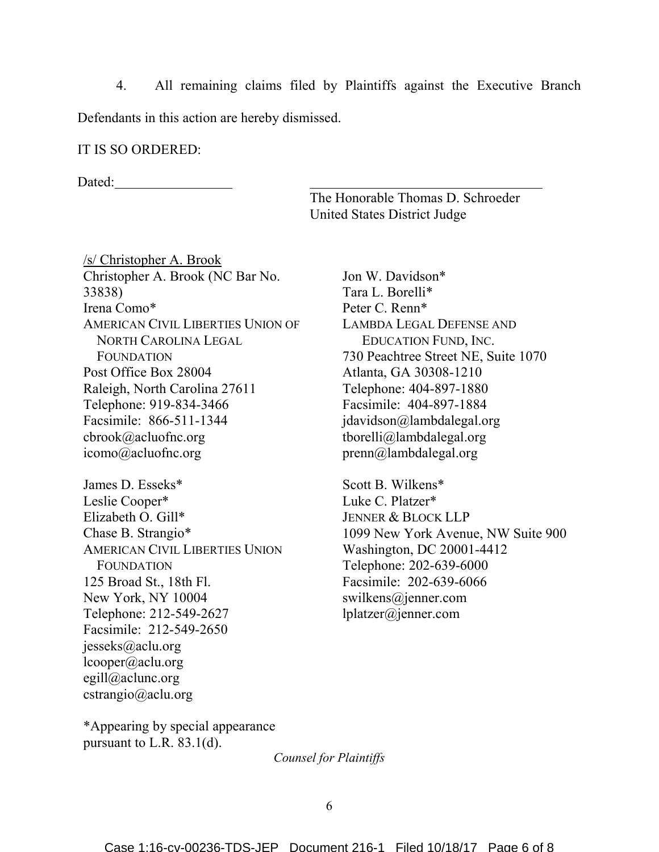4. All remaining claims filed by Plaintiffs against the Executive Branch Defendants in this action are hereby dismissed.

#### IT IS SO ORDERED:

Dated:

The Honorable Thomas D. Schroeder United States District Judge

/s/ Christopher A. Brook Christopher A. Brook (NC Bar No. 33838) Irena Como\* AMERICAN CIVIL LIBERTIES UNION OF NORTH CAROLINA LEGAL FOUNDATION Post Office Box 28004 Raleigh, North Carolina 27611 Telephone: 919-834-3466 Facsimile: 866-511-1344 cbrook@acluofnc.org icomo@acluofnc.org James D. Esseks\* Leslie Cooper\* Elizabeth O. Gill\* Chase B. Strangio\* AMERICAN CIVIL LIBERTIES UNION FOUNDATION 125 Broad St., 18th Fl. New York, NY 10004 Telephone: 212-549-2627 Facsimile: 212-549-2650 jesseks@aclu.org lcooper@aclu.org egill@aclunc.org cstrangio@aclu.org

\*Appearing by special appearance pursuant to L.R.  $83.1(d)$ .

Jon W. Davidson\* Tara L. Borelli\* Peter C. Renn\* LAMBDA LEGAL DEFENSE AND EDUCATION FUND, INC. 730 Peachtree Street NE, Suite 1070 Atlanta, GA 30308-1210 Telephone: 404-897-1880 Facsimile: 404-897-1884 jdavidson@lambdalegal.org tborelli@lambdalegal.org prenn@lambdalegal.org

Scott B. Wilkens\* Luke C. Platzer\* JENNER & BLOCK LLP 1099 New York Avenue, NW Suite 900 Washington, DC 20001-4412 Telephone: 202-639-6000 Facsimile: 202-639-6066 swilkens@jenner.com lplatzer@jenner.com

*Counsel for Plaintiffs*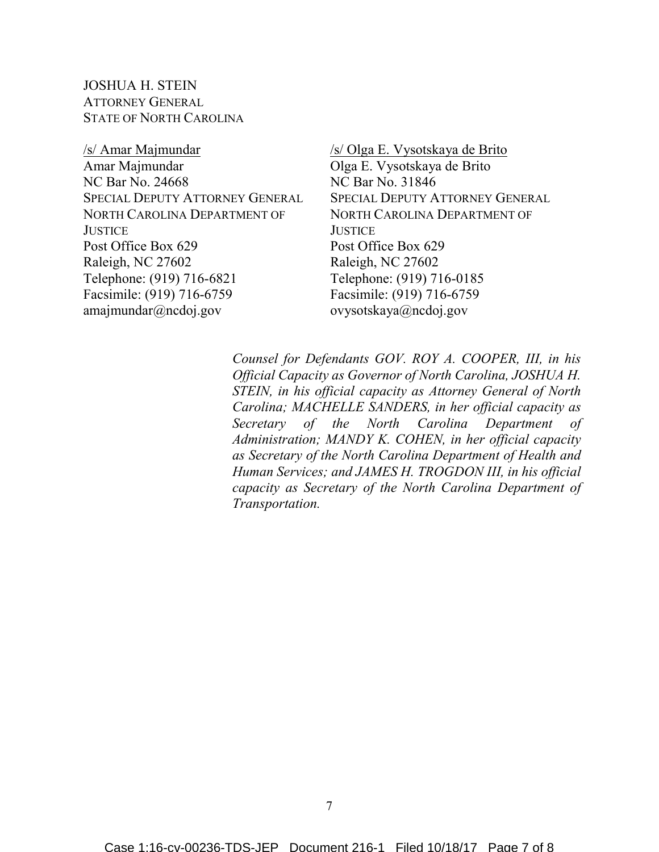JOSHUA H. STEIN ATTORNEY GENERAL STATE OF NORTH CAROLINA

/s/ Amar Majmundar Amar Majmundar NC Bar No. 24668 SPECIAL DEPUTY ATTORNEY GENERAL NORTH CAROLINA DEPARTMENT OF **JUSTICE** Post Office Box 629 Raleigh, NC 27602 Telephone: (919) 716-6821 Facsimile: (919) 716-6759 amajmundar@ncdoj.gov

/s/ Olga E. Vysotskaya de Brito Olga E. Vysotskaya de Brito NC Bar No. 31846 SPECIAL DEPUTY ATTORNEY GENERAL NORTH CAROLINA DEPARTMENT OF **JUSTICE** Post Office Box 629 Raleigh, NC 27602 Telephone: (919) 716-0185 Facsimile: (919) 716-6759 ovysotskaya@ncdoj.gov

*Counsel for Defendants GOV. ROY A. COOPER, III, in his Official Capacity as Governor of North Carolina, JOSHUA H. STEIN, in his official capacity as Attorney General of North Carolina; MACHELLE SANDERS, in her official capacity as Secretary of the North Carolina Department of Administration; MANDY K. COHEN, in her official capacity as Secretary of the North Carolina Department of Health and Human Services; and JAMES H. TROGDON III, in his official capacity as Secretary of the North Carolina Department of Transportation.*